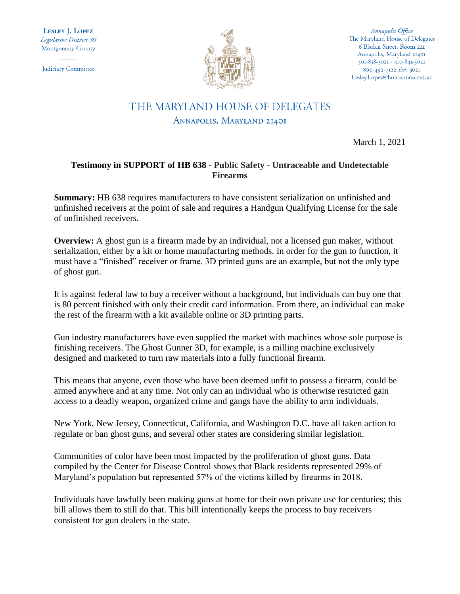LESLEY J. LOPEZ Legislative District 39 Montgomery County

Judiciary Committee



Annapolis Office The Maryland House of Delegates 6 Bladen Street, Room 221 Annapolis, Maryland 21401 301-858-3021 · 410-841-3021 800-492-7122 Ext. 3021 Lesley.Lopez@house.state.md.us

## THE MARYLAND HOUSE OF DELEGATES ANNAPOLIS, MARYLAND 21401

March 1, 2021

## **Testimony in SUPPORT of HB 638 - Public Safety - Untraceable and Undetectable Firearms**

**Summary:** HB 638 requires manufacturers to have consistent serialization on unfinished and unfinished receivers at the point of sale and requires a Handgun Qualifying License for the sale of unfinished receivers.

**Overview:** A ghost gun is a firearm made by an individual, not a licensed gun maker, without serialization, either by a kit or home manufacturing methods. In order for the gun to function, it must have a "finished" receiver or frame. 3D printed guns are an example, but not the only type of ghost gun.

It is against federal law to buy a receiver without a background, but individuals can buy one that is 80 percent finished with only their credit card information. From there, an individual can make the rest of the firearm with a kit available online or 3D printing parts.

Gun industry manufacturers have even supplied the market with machines whose sole purpose is finishing receivers. The Ghost Gunner 3D, for example, is a milling machine exclusively designed and marketed to turn raw materials into a fully functional firearm.

This means that anyone, even those who have been deemed unfit to possess a firearm, could be armed anywhere and at any time. Not only can an individual who is otherwise restricted gain access to a deadly weapon, organized crime and gangs have the ability to arm individuals.

New York, New Jersey, Connecticut, California, and Washington D.C. have all taken action to regulate or ban ghost guns, and several other states are considering similar legislation.

Communities of color have been most impacted by the proliferation of ghost guns. Data compiled by the Center for Disease Control shows that Black residents represented 29% of Maryland's population but represented 57% of the victims killed by firearms in 2018.

Individuals have lawfully been making guns at home for their own private use for centuries; this bill allows them to still do that. This bill intentionally keeps the process to buy receivers consistent for gun dealers in the state.